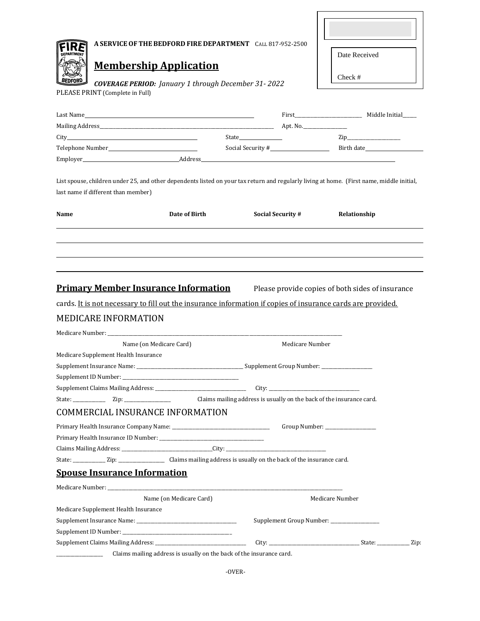|      |                                                            |                                                                      | A SERVICE OF THE BEDFORD FIRE DEPARTMENT CALL 817-952-2500                                                  |                                                                                                                                           |  |
|------|------------------------------------------------------------|----------------------------------------------------------------------|-------------------------------------------------------------------------------------------------------------|-------------------------------------------------------------------------------------------------------------------------------------------|--|
|      |                                                            |                                                                      |                                                                                                             | Date Received                                                                                                                             |  |
|      | <b>Membership Application</b>                              |                                                                      |                                                                                                             |                                                                                                                                           |  |
|      | <b>COVERAGE PERIOD:</b> January 1 through December 31-2022 |                                                                      |                                                                                                             | Check #                                                                                                                                   |  |
|      | PLEASE PRINT (Complete in Full)                            |                                                                      |                                                                                                             |                                                                                                                                           |  |
|      |                                                            |                                                                      |                                                                                                             |                                                                                                                                           |  |
|      |                                                            |                                                                      |                                                                                                             |                                                                                                                                           |  |
|      |                                                            |                                                                      |                                                                                                             | $\mathsf{Zip}\_$                                                                                                                          |  |
|      |                                                            |                                                                      |                                                                                                             |                                                                                                                                           |  |
|      |                                                            |                                                                      |                                                                                                             |                                                                                                                                           |  |
|      |                                                            |                                                                      |                                                                                                             |                                                                                                                                           |  |
|      |                                                            |                                                                      |                                                                                                             | List spouse, children under 25, and other dependents listed on your tax return and regularly living at home. (First name, middle initial, |  |
|      | last name if different than member)                        |                                                                      |                                                                                                             |                                                                                                                                           |  |
|      |                                                            |                                                                      |                                                                                                             |                                                                                                                                           |  |
| Name |                                                            | Date of Birth                                                        | <b>Social Security #</b>                                                                                    | Relationship                                                                                                                              |  |
|      |                                                            |                                                                      |                                                                                                             |                                                                                                                                           |  |
|      |                                                            |                                                                      |                                                                                                             |                                                                                                                                           |  |
|      |                                                            |                                                                      |                                                                                                             |                                                                                                                                           |  |
|      |                                                            |                                                                      |                                                                                                             |                                                                                                                                           |  |
|      |                                                            |                                                                      |                                                                                                             |                                                                                                                                           |  |
|      | <b>Primary Member Insurance Information</b>                |                                                                      |                                                                                                             | Please provide copies of both sides of insurance                                                                                          |  |
|      |                                                            |                                                                      | cards. It is not necessary to fill out the insurance information if copies of insurance cards are provided. |                                                                                                                                           |  |
|      | <b>MEDICARE INFORMATION</b>                                |                                                                      |                                                                                                             |                                                                                                                                           |  |
|      |                                                            |                                                                      |                                                                                                             |                                                                                                                                           |  |
|      | Name (on Medicare Card)                                    |                                                                      | Medicare Number                                                                                             |                                                                                                                                           |  |
|      | Medicare Supplement Health Insurance                       |                                                                      |                                                                                                             |                                                                                                                                           |  |
|      |                                                            |                                                                      |                                                                                                             |                                                                                                                                           |  |
|      |                                                            |                                                                      |                                                                                                             |                                                                                                                                           |  |
|      |                                                            |                                                                      |                                                                                                             |                                                                                                                                           |  |
|      |                                                            |                                                                      |                                                                                                             |                                                                                                                                           |  |
|      | <b>COMMERCIAL INSURANCE INFORMATION</b>                    |                                                                      |                                                                                                             |                                                                                                                                           |  |
|      |                                                            |                                                                      |                                                                                                             | Group Number: _________________                                                                                                           |  |
|      |                                                            |                                                                      |                                                                                                             |                                                                                                                                           |  |
|      |                                                            |                                                                      |                                                                                                             |                                                                                                                                           |  |
|      |                                                            |                                                                      |                                                                                                             |                                                                                                                                           |  |
|      |                                                            |                                                                      |                                                                                                             |                                                                                                                                           |  |
|      | <b>Spouse Insurance Information</b>                        |                                                                      |                                                                                                             |                                                                                                                                           |  |
|      |                                                            |                                                                      |                                                                                                             |                                                                                                                                           |  |
|      |                                                            | Name (on Medicare Card)                                              |                                                                                                             | Medicare Number                                                                                                                           |  |
|      | Medicare Supplement Health Insurance                       |                                                                      |                                                                                                             |                                                                                                                                           |  |
|      |                                                            |                                                                      |                                                                                                             | Supplement Group Number: ________________                                                                                                 |  |
|      |                                                            |                                                                      |                                                                                                             |                                                                                                                                           |  |
|      |                                                            |                                                                      |                                                                                                             |                                                                                                                                           |  |
|      |                                                            | Claims mailing address is usually on the back of the insurance card. |                                                                                                             |                                                                                                                                           |  |